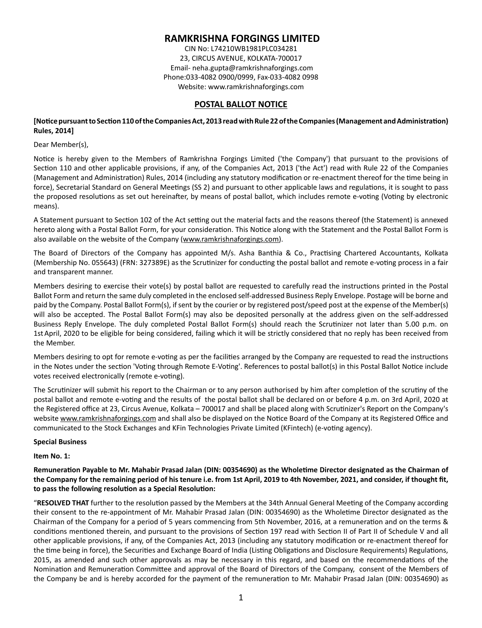## **RAMKRISHNA FORGINGS LIMITED**

CIN No: L74210WB1981PLC034281 23, CIRCUS AVENUE, KOLKATA-700017 Email- neha.gupta@ramkrishnaforgings.com Phone:033-4082 0900/0999, Fax-033-4082 0998 Website: www.ramkrishnaforgings.com

## **POSTAL BALLOT NOTICE**

## [Notice pursuant to Section 110 of the Companies Act, 2013 read with Rule 22 of the Companies (Management and Administration) **Rules, 2014]**

#### Dear Member(s),

Notice is hereby given to the Members of Ramkrishna Forgings Limited ('the Company') that pursuant to the provisions of Section 110 and other applicable provisions, if any, of the Companies Act, 2013 ('the Act') read with Rule 22 of the Companies (Management and Administration) Rules, 2014 (including any statutory modification or re-enactment thereof for the time being in force), Secretarial Standard on General Meetings (SS 2) and pursuant to other applicable laws and regulations, it is sought to pass the proposed resolutions as set out hereinafter, by means of postal ballot, which includes remote e-voting (Voting by electronic means).

A Statement pursuant to Section 102 of the Act setting out the material facts and the reasons thereof (the Statement) is annexed hereto along with a Postal Ballot Form, for your consideration. This Notice along with the Statement and the Postal Ballot Form is also available on the website of the Company (www.ramkrishnaforgings.com).

The Board of Directors of the Company has appointed M/s. Asha Banthia & Co., Practising Chartered Accountants, Kolkata (Membership No. 055643) (FRN: 327389E) as the Scrutinizer for conducting the postal ballot and remote e-voting process in a fair and transparent manner.

Members desiring to exercise their vote(s) by postal ballot are requested to carefully read the instructions printed in the Postal Ballot Form and return the same duly completed in the enclosed self-addressed Business Reply Envelope. Postage will be borne and paid by the Company. Postal Ballot Form(s), if sent by the courier or by registered post/speed post at the expense of the Member(s) will also be accepted. The Postal Ballot Form(s) may also be deposited personally at the address given on the self-addressed Business Reply Envelope. The duly completed Postal Ballot Form(s) should reach the Scrutinizer not later than 5.00 p.m. on 1st April, 2020 to be eligible for being considered, failing which it will be strictly considered that no reply has been received from the Member.

Members desiring to opt for remote e-voting as per the facilities arranged by the Company are requested to read the instructions in the Notes under the section 'Voting through Remote E-Voting'. References to postal ballot(s) in this Postal Ballot Notice include votes received electronically (remote e-voting).

The Scrutinizer will submit his report to the Chairman or to any person authorised by him after completion of the scrutiny of the postal ballot and remote e-voting and the results of the postal ballot shall be declared on or before 4 p.m. on 3rd April, 2020 at the Registered office at 23, Circus Avenue, Kolkata – 700017 and shall be placed along with Scrutinizer's Report on the Company's website www.ramkrishnaforgings.com and shall also be displayed on the Notice Board of the Company at its Registered Office and communicated to the Stock Exchanges and KFin Technologies Private Limited (KFintech) (e-voting agency).

#### **Special Business**

#### **Item No. 1:**

## Remuneration Payable to Mr. Mahabir Prasad Jalan (DIN: 00354690) as the Wholetime Director designated as the Chairman of **the Company for the remaining period of his tenure i.e. from 1st April, 2019 to 4th November, 2021, and consider, if thought fit,**  to pass the following resolution as a Special Resolution:

"RESOLVED THAT further to the resolution passed by the Members at the 34th Annual General Meeting of the Company according their consent to the re-appointment of Mr. Mahabir Prasad Jalan (DIN: 00354690) as the Wholetime Director designated as the Chairman of the Company for a period of 5 years commencing from 5th November, 2016, at a remuneration and on the terms & conditions mentioned therein, and pursuant to the provisions of Section 197 read with Section II of Part II of Schedule V and all other applicable provisions, if any, of the Companies Act, 2013 (including any statutory modification or re-enactment thereof for the time being in force), the Securities and Exchange Board of India (Listing Obligations and Disclosure Requirements) Regulations, 2015, as amended and such other approvals as may be necessary in this regard, and based on the recommendations of the Nomination and Remuneration Committee and approval of the Board of Directors of the Company, consent of the Members of the Company be and is hereby accorded for the payment of the remuneration to Mr. Mahabir Prasad Jalan (DIN: 00354690) as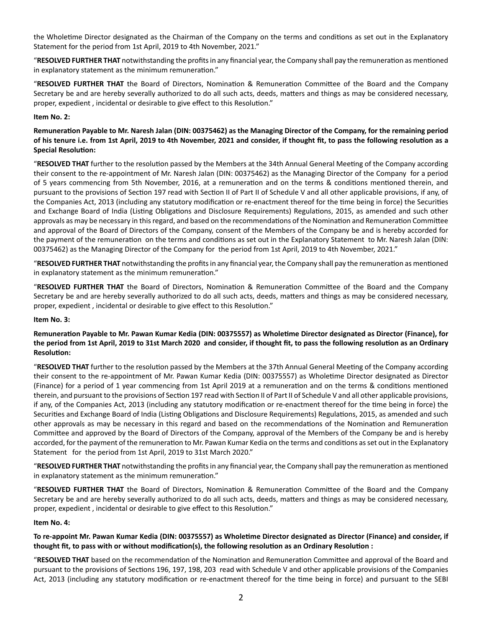the Wholetime Director designated as the Chairman of the Company on the terms and conditions as set out in the Explanatory Statement for the period from 1st April, 2019 to 4th November, 2021."

"RESOLVED FURTHER THAT notwithstanding the profits in any financial year, the Company shall pay the remuneration as mentioned in explanatory statement as the minimum remuneration."

"RESOLVED FURTHER THAT the Board of Directors, Nomination & Remuneration Committee of the Board and the Company Secretary be and are hereby severally authorized to do all such acts, deeds, matters and things as may be considered necessary, proper, expedient, incidental or desirable to give effect to this Resolution."

## **Item No. 2:**

Remuneration Payable to Mr. Naresh Jalan (DIN: 00375462) as the Managing Director of the Company, for the remaining period of his tenure i.e. from 1st April, 2019 to 4th November, 2021 and consider, if thought fit, to pass the following resolution as a **Special Resolution:** 

"RESOLVED THAT further to the resolution passed by the Members at the 34th Annual General Meeting of the Company according their consent to the re-appointment of Mr. Naresh Jalan (DIN: 00375462) as the Managing Director of the Company for a period of 5 years commencing from 5th November, 2016, at a remuneration and on the terms & conditions mentioned therein, and pursuant to the provisions of Section 197 read with Section II of Part II of Schedule V and all other applicable provisions, if any, of the Companies Act, 2013 (including any statutory modification or re-enactment thereof for the time being in force) the Securities and Exchange Board of India (Listing Obligations and Disclosure Requirements) Regulations, 2015, as amended and such other approvals as may be necessary in this regard, and based on the recommendations of the Nomination and Remuneration Committee and approval of the Board of Directors of the Company, consent of the Members of the Company be and is hereby accorded for the payment of the remuneration on the terms and conditions as set out in the Explanatory Statement to Mr. Naresh Jalan (DIN: 00375462) as the Managing Director of the Company for the period from 1st April, 2019 to 4th November, 2021."

"RESOLVED FURTHER THAT notwithstanding the profits in any financial year, the Company shall pay the remuneration as mentioned in explanatory statement as the minimum remuneration."

"RESOLVED FURTHER THAT the Board of Directors, Nomination & Remuneration Committee of the Board and the Company Secretary be and are hereby severally authorized to do all such acts, deeds, matters and things as may be considered necessary, proper, expedient, incidental or desirable to give effect to this Resolution."

#### **Item No. 3:**

Remuneration Payable to Mr. Pawan Kumar Kedia (DIN: 00375557) as Wholetime Director designated as Director (Finance), for the period from 1st April, 2019 to 31st March 2020 and consider, if thought fit, to pass the following resolution as an Ordinary **Resolution:** 

"RESOLVED THAT further to the resolution passed by the Members at the 37th Annual General Meeting of the Company according their consent to the re-appointment of Mr. Pawan Kumar Kedia (DIN: 00375557) as Wholetime Director designated as Director (Finance) for a period of 1 year commencing from 1st April 2019 at a remuneration and on the terms & conditions mentioned therein, and pursuant to the provisions of Section 197 read with Section II of Part II of Schedule V and all other applicable provisions, if any, of the Companies Act, 2013 (including any statutory modification or re-enactment thereof for the time being in force) the Securities and Exchange Board of India (Listing Obligations and Disclosure Requirements) Regulations, 2015, as amended and such other approvals as may be necessary in this regard and based on the recommendations of the Nomination and Remuneration Committee and approved by the Board of Directors of the Company, approval of the Members of the Company be and is hereby accorded, for the payment of the remuneration to Mr. Pawan Kumar Kedia on the terms and conditions as set out in the Explanatory Statement for the period from 1st April, 2019 to 31st March 2020."

"RESOLVED FURTHER THAT notwithstanding the profits in any financial year, the Company shall pay the remuneration as mentioned in explanatory statement as the minimum remuneration."

"RESOLVED FURTHER THAT the Board of Directors, Nomination & Remuneration Committee of the Board and the Company Secretary be and are hereby severally authorized to do all such acts, deeds, matters and things as may be considered necessary, proper, expedient, incidental or desirable to give effect to this Resolution."

#### **Item No. 4:**

## To re-appoint Mr. Pawan Kumar Kedia (DIN: 00375557) as Wholetime Director designated as Director (Finance) and consider, if thought fit, to pass with or without modification(s), the following resolution as an Ordinary Resolution :

"RESOLVED THAT based on the recommendation of the Nomination and Remuneration Committee and approval of the Board and pursuant to the provisions of Sections 196, 197, 198, 203 read with Schedule V and other applicable provisions of the Companies Act, 2013 (including any statutory modification or re-enactment thereof for the time being in force) and pursuant to the SEBI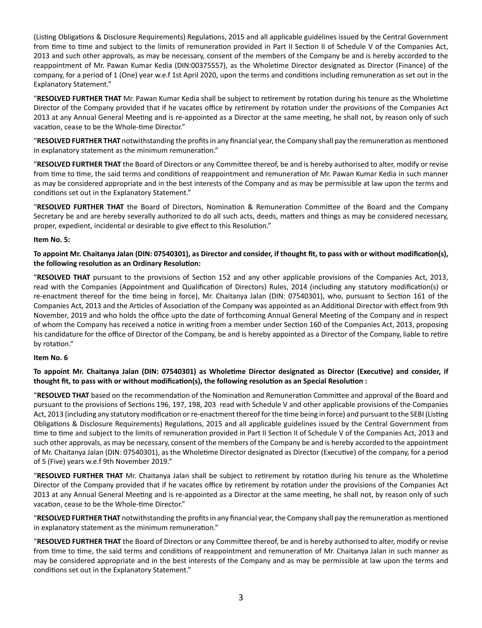(Listing Obligations & Disclosure Requirements) Regulations, 2015 and all applicable guidelines issued by the Central Government from time to time and subject to the limits of remuneration provided in Part II Section II of Schedule V of the Companies Act, 2013 and such other approvals, as may be necessary, consent of the members of the Company be and is hereby accorded to the reappointment of Mr. Pawan Kumar Kedia (DIN:00375557), as the Wholetime Director designated as Director (Finance) of the company, for a period of 1 (One) year w.e.f 1st April 2020, upon the terms and conditions including remuneration as set out in the Explanatory Statement."

"RESOLVED FURTHER THAT Mr. Pawan Kumar Kedia shall be subject to retirement by rotation during his tenure as the Wholetime Director of the Company provided that if he vacates office by retirement by rotation under the provisions of the Companies Act 2013 at any Annual General Meeting and is re-appointed as a Director at the same meeting, he shall not, by reason only of such vacation, cease to be the Whole-time Director."

"RESOLVED FURTHER THAT notwithstanding the profits in any financial year, the Company shall pay the remuneration as mentioned in explanatory statement as the minimum remuneration."

"RESOLVED FURTHER THAT the Board of Directors or any Committee thereof, be and is hereby authorised to alter, modify or revise from time to time, the said terms and conditions of reappointment and remuneration of Mr. Pawan Kumar Kedia in such manner as may be considered appropriate and in the best interests of the Company and as may be permissible at law upon the terms and conditions set out in the Explanatory Statement."

"RESOLVED FURTHER THAT the Board of Directors, Nomination & Remuneration Committee of the Board and the Company Secretary be and are hereby severally authorized to do all such acts, deeds, matters and things as may be considered necessary, proper, expedient, incidental or desirable to give effect to this Resolution."

## **Item No. 5:**

To appoint Mr. Chaitanya Jalan (DIN: 07540301), as Director and consider, if thought fit, to pass with or without modification(s), the following resolution as an Ordinary Resolution:

"RESOLVED THAT pursuant to the provisions of Section 152 and any other applicable provisions of the Companies Act, 2013, read with the Companies (Appointment and Qualification of Directors) Rules, 2014 (including any statutory modification(s) or re-enactment thereof for the time being in force), Mr. Chaitanya Jalan (DIN: 07540301), who, pursuant to Section 161 of the Companies Act, 2013 and the Articles of Association of the Company was appointed as an Additional Director with effect from 9th November, 2019 and who holds the office upto the date of forthcoming Annual General Meeting of the Company and in respect of whom the Company has received a notice in writing from a member under Section 160 of the Companies Act, 2013, proposing his candidature for the office of Director of the Company, be and is hereby appointed as a Director of the Company, liable to retire by rotation."

#### **Item No. 6**

To appoint Mr. Chaitanya Jalan (DIN: 07540301) as Wholetime Director designated as Director (Executive) and consider, if thought fit, to pass with or without modification(s), the following resolution as an Special Resolution :

"RESOLVED THAT based on the recommendation of the Nomination and Remuneration Committee and approval of the Board and pursuant to the provisions of Sections 196, 197, 198, 203 read with Schedule V and other applicable provisions of the Companies Act, 2013 (including any statutory modification or re-enactment thereof for the time being in force) and pursuant to the SEBI (Listing Obligations & Disclosure Requirements) Regulations, 2015 and all applicable guidelines issued by the Central Government from time to time and subject to the limits of remuneration provided in Part II Section II of Schedule V of the Companies Act, 2013 and such other approvals, as may be necessary, consent of the members of the Company be and is hereby accorded to the appointment of Mr. Chaitanya Jalan (DIN: 07540301), as the Wholetime Director designated as Director (Executive) of the company, for a period of 5 (Five) years w.e.f 9th November 2019."

"RESOLVED FURTHER THAT Mr. Chaitanya Jalan shall be subject to retirement by rotation during his tenure as the Wholetime Director of the Company provided that if he vacates office by retirement by rotation under the provisions of the Companies Act 2013 at any Annual General Meeting and is re-appointed as a Director at the same meeting, he shall not, by reason only of such vacation, cease to be the Whole-time Director."

"RESOLVED FURTHER THAT notwithstanding the profits in any financial year, the Company shall pay the remuneration as mentioned in explanatory statement as the minimum remuneration."

"RESOLVED FURTHER THAT the Board of Directors or any Committee thereof, be and is hereby authorised to alter, modify or revise from time to time, the said terms and conditions of reappointment and remuneration of Mr. Chaitanya Jalan in such manner as may be considered appropriate and in the best interests of the Company and as may be permissible at law upon the terms and conditions set out in the Explanatory Statement."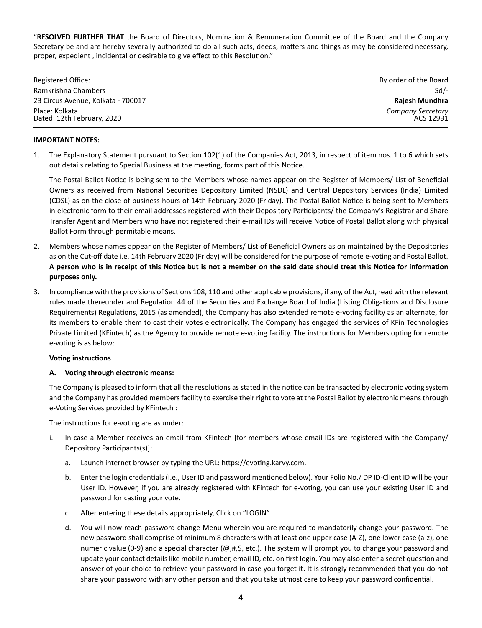"RESOLVED FURTHER THAT the Board of Directors, Nomination & Remuneration Committee of the Board and the Company Secretary be and are hereby severally authorized to do all such acts, deeds, matters and things as may be considered necessary, proper, expedient, incidental or desirable to give effect to this Resolution."

| Registered Office:                           | By order of the Board          |
|----------------------------------------------|--------------------------------|
| Ramkrishna Chambers                          | $Sd$ -                         |
| 23 Circus Avenue, Kolkata - 700017           | Rajesh Mundhra                 |
| Place: Kolkata<br>Dated: 12th February, 2020 | Company Secretary<br>ACS 12991 |

#### **IMPORTANT NOTES:**

1. The Explanatory Statement pursuant to Section 102(1) of the Companies Act, 2013, in respect of item nos. 1 to 6 which sets out details relating to Special Business at the meeting, forms part of this Notice.

The Postal Ballot Notice is being sent to the Members whose names appear on the Register of Members/ List of Beneficial Owners as received from National Securities Depository Limited (NSDL) and Central Depository Services (India) Limited (CDSL) as on the close of business hours of 14th February 2020 (Friday). The Postal Ballot Notice is being sent to Members in electronic form to their email addresses registered with their Depository Participants/ the Company's Registrar and Share Transfer Agent and Members who have not registered their e-mail IDs will receive Notice of Postal Ballot along with physical Ballot Form through permitable means.

- 2. Members whose names appear on the Register of Members/ List of Beneficial Owners as on maintained by the Depositories as on the Cut-off date i.e. 14th February 2020 (Friday) will be considered for the purpose of remote e-voting and Postal Ballot. A person who is in receipt of this Notice but is not a member on the said date should treat this Notice for information **purposes only.**
- 3. In compliance with the provisions of Sections 108, 110 and other applicable provisions, if any, of the Act, read with the relevant rules made thereunder and Regulation 44 of the Securities and Exchange Board of India (Listing Obligations and Disclosure Requirements) Regulations, 2015 (as amended), the Company has also extended remote e-voting facility as an alternate, for its members to enable them to cast their votes electronically. The Company has engaged the services of KFin Technologies Private Limited (KFintech) as the Agency to provide remote e-voting facility. The instructions for Members opting for remote e-voting is as below:

## **Voting instructions**

#### **A.** Voting through electronic means:

The Company is pleased to inform that all the resolutions as stated in the notice can be transacted by electronic voting system and the Company has provided members facility to exercise their right to vote at the Postal Ballot by electronic means through e-Voting Services provided by KFintech :

The instructions for e-voting are as under:

- i. In case a Member receives an email from KFintech [for members whose email IDs are registered with the Company/ Depository Participants(s)]:
	- a. Launch internet browser by typing the URL: https://evoting.karvy.com.
	- b. Enter the login credentials (i.e., User ID and password mentioned below). Your Folio No./ DP ID-Client ID will be your User ID. However, if you are already registered with KFintech for e-voting, you can use your existing User ID and password for casting your vote.
	- c. After entering these details appropriately, Click on "LOGIN".
	- d. You will now reach password change Menu wherein you are required to mandatorily change your password. The new password shall comprise of minimum 8 characters with at least one upper case (A-Z), one lower case (a-z), one numeric value (0-9) and a special character (@,#,\$, etc.). The system will prompt you to change your password and update your contact details like mobile number, email ID, etc. on first login. You may also enter a secret question and answer of your choice to retrieve your password in case you forget it. It is strongly recommended that you do not share your password with any other person and that you take utmost care to keep your password confidential.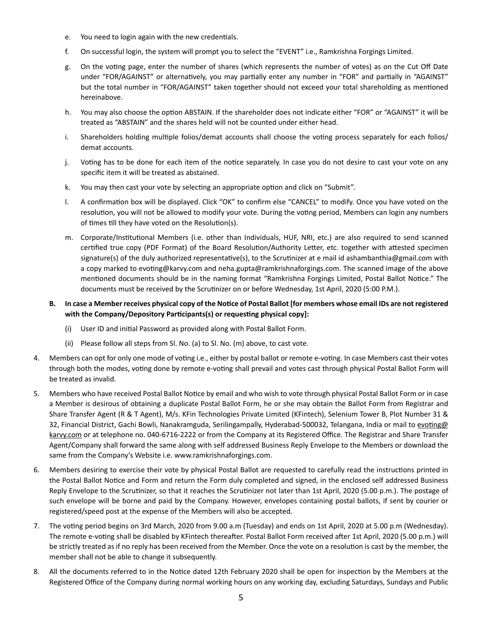- e. You need to login again with the new credentials.
- f. On successful login, the system will prompt you to select the "EVENT" i.e., Ramkrishna Forgings Limited.
- g. On the voting page, enter the number of shares (which represents the number of votes) as on the Cut Off Date under "FOR/AGAINST" or alternatively, you may partially enter any number in "FOR" and partially in "AGAINST" but the total number in "FOR/AGAINST" taken together should not exceed your total shareholding as mentioned hereinabove.
- h. You may also choose the option ABSTAIN. If the shareholder does not indicate either "FOR" or "AGAINST" it will be treated as "ABSTAIN" and the shares held will not be counted under either head.
- i. Shareholders holding multiple folios/demat accounts shall choose the voting process separately for each folios/ demat accounts.
- j. Voting has to be done for each item of the notice separately. In case you do not desire to cast your vote on any specific item it will be treated as abstained.
- k. You may then cast your vote by selecting an appropriate option and click on "Submit".
- l. A confirmation box will be displayed. Click "OK" to confirm else "CANCEL" to modify. Once you have voted on the resolution, you will not be allowed to modify your vote. During the voting period, Members can login any numbers of times till they have voted on the Resolution(s).
- m. Corporate/Institutional Members (i.e. other than Individuals, HUF, NRI, etc.) are also required to send scanned certified true copy (PDF Format) of the Board Resolution/Authority Letter, etc. together with attested specimen signature(s) of the duly authorized representative(s), to the Scrutinizer at e mail id ashambanthia@gmail.com with a copy marked to evoting@karvy.com and neha.gupta@ramkrishnaforgings.com. The scanned image of the above mentioned documents should be in the naming format "Ramkrishna Forgings Limited, Postal Ballot Notice." The documents must be received by the Scrutinizer on or before Wednesday, 1st April, 2020 (5:00 P.M.).
- B. In case a Member receives physical copy of the Notice of Postal Ballot [for members whose email IDs are not registered with the Company/Depository Participants(s) or requesting physical copy]:
	- (i) User ID and initial Password as provided along with Postal Ballot Form.
	- (ii) Please follow all steps from Sl. No. (a) to Sl. No. (m) above, to cast vote.
- 4. Members can opt for only one mode of voting i.e., either by postal ballot or remote e-voting. In case Members cast their votes through both the modes, voting done by remote e-voting shall prevail and votes cast through physical Postal Ballot Form will be treated as invalid.
- 5. Members who have received Postal Ballot Notice by email and who wish to vote through physical Postal Ballot Form or in case a Member is desirous of obtaining a duplicate Postal Ballot Form, he or she may obtain the Ballot Form from Registrar and Share Transfer Agent (R & T Agent), M/s. KFin Technologies Private Limited (KFintech), Selenium Tower B, Plot Number 31 & 32, Financial District, Gachi Bowli, Nanakramguda, Serilingampally, Hyderabad-500032, Telangana, India or mail to evoting@ karvy.com or at telephone no. 040-6716-2222 or from the Company at its Registered Office. The Registrar and Share Transfer Agent/Company shall forward the same along with self addressed Business Reply Envelope to the Members or download the same from the Company's Website i.e. www.ramkrishnaforgings.com.
- 6. Members desiring to exercise their vote by physical Postal Ballot are requested to carefully read the instructions printed in the Postal Ballot Notice and Form and return the Form duly completed and signed, in the enclosed self addressed Business Reply Envelope to the Scrutinizer, so that it reaches the Scrutinizer not later than 1st April, 2020 (5.00 p.m.). The postage of such envelope will be borne and paid by the Company. However, envelopes containing postal ballots, if sent by courier or registered/speed post at the expense of the Members will also be accepted.
- 7. The voting period begins on 3rd March, 2020 from 9.00 a.m (Tuesday) and ends on 1st April, 2020 at 5.00 p.m (Wednesday). The remote e-voting shall be disabled by KFintech thereafter. Postal Ballot Form received after 1st April, 2020 (5.00 p.m.) will be strictly treated as if no reply has been received from the Member. Once the vote on a resolution is cast by the member, the member shall not be able to change it subsequently.
- 8. All the documents referred to in the Notice dated 12th February 2020 shall be open for inspection by the Members at the Registered Office of the Company during normal working hours on any working day, excluding Saturdays, Sundays and Public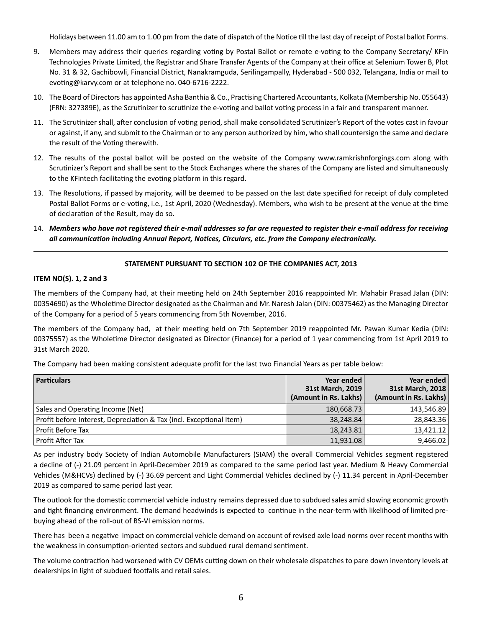Holidays between 11.00 am to 1.00 pm from the date of dispatch of the Notice till the last day of receipt of Postal ballot Forms.

- 9. Members may address their queries regarding voting by Postal Ballot or remote e-voting to the Company Secretary/ KFin Technologies Private Limited, the Registrar and Share Transfer Agents of the Company at their office at Selenium Tower B, Plot No. 31 & 32, Gachibowli, Financial District, Nanakramguda, Serilingampally, Hyderabad - 500 032, Telangana, India or mail to evoting@karvy.com or at telephone no. 040-6716-2222.
- 10. The Board of Directors has appointed Asha Banthia & Co., Practising Chartered Accountants, Kolkata (Membership No. 055643) (FRN: 327389E), as the Scrutinizer to scrutinize the e-voting and ballot voting process in a fair and transparent manner.
- 11. The Scrutinizer shall, after conclusion of voting period, shall make consolidated Scrutinizer's Report of the votes cast in favour or against, if any, and submit to the Chairman or to any person authorized by him, who shall countersign the same and declare the result of the Voting therewith.
- 12. The results of the postal ballot will be posted on the website of the Company www.ramkrishnforgings.com along with Scrutinizer's Report and shall be sent to the Stock Exchanges where the shares of the Company are listed and simultaneously to the KFintech facilitating the evoting platform in this regard.
- 13. The Resolutions, if passed by majority, will be deemed to be passed on the last date specified for receipt of duly completed Postal Ballot Forms or e-voting, i.e., 1st April, 2020 (Wednesday). Members, who wish to be present at the venue at the time of declaration of the Result, may do so.
- 14. *Members who have not registered their e-mail addresses so far are requested to register their e-mail address for receiving all communication including Annual Report, Notices, Circulars, etc. from the Company electronically.*

## **STATEMENT PURSUANT TO SECTION 102 OF THE COMPANIES ACT, 2013**

## **ITEM NO(S). 1, 2 and 3**

The members of the Company had, at their meeting held on 24th September 2016 reappointed Mr. Mahabir Prasad Jalan (DIN: 00354690) as the Wholetime Director designated as the Chairman and Mr. Naresh Jalan (DIN: 00375462) as the Managing Director of the Company for a period of 5 years commencing from 5th November, 2016.

The members of the Company had, at their meeting held on 7th September 2019 reappointed Mr. Pawan Kumar Kedia (DIN: 00375557) as the Wholetime Director designated as Director (Finance) for a period of 1 year commencing from 1st April 2019 to 31st March 2020.

The Company had been making consistent adequate profit for the last two Financial Years as per table below:

| <b>Particulars</b>                                                  | Year ended<br>31st March, 2019<br>(Amount in Rs. Lakhs) | Year ended<br>31st March, 2018<br>(Amount in Rs. Lakhs) |
|---------------------------------------------------------------------|---------------------------------------------------------|---------------------------------------------------------|
| Sales and Operating Income (Net)                                    | 180,668.73                                              | 143,546.89                                              |
| Profit before Interest, Depreciation & Tax (incl. Exceptional Item) | 38,248.84                                               | 28,843.36                                               |
| Profit Before Tax                                                   | 18,243.81                                               | 13,421.12                                               |
| Profit After Tax                                                    | 11,931.08                                               | 9,466.02                                                |

As per industry body Society of Indian Automobile Manufacturers (SIAM) the overall Commercial Vehicles segment registered a decline of (-) 21.09 percent in April-December 2019 as compared to the same period last year. Medium & Heavy Commercial Vehicles (M&HCVs) declined by (-) 36.69 percent and Light Commercial Vehicles declined by (-) 11.34 percent in April-December 2019 as compared to same period last year.

The outlook for the domestic commercial vehicle industry remains depressed due to subdued sales amid slowing economic growth and tight financing environment. The demand headwinds is expected to continue in the near-term with likelihood of limited prebuying ahead of the roll-out of BS-VI emission norms.

There has been a negative impact on commercial vehicle demand on account of revised axle load norms over recent months with the weakness in consumption-oriented sectors and subdued rural demand sentiment.

The volume contraction had worsened with CV OEMs cutting down on their wholesale dispatches to pare down inventory levels at dealerships in light of subdued footfalls and retail sales.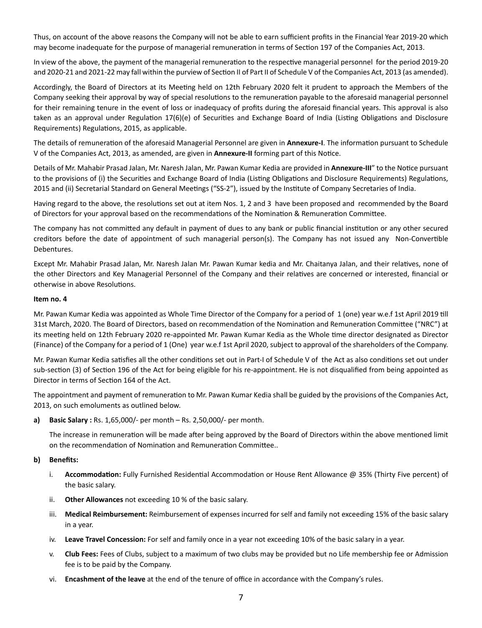Thus, on account of the above reasons the Company will not be able to earn sufficient profits in the Financial Year 2019-20 which may become inadequate for the purpose of managerial remuneration in terms of Section 197 of the Companies Act, 2013.

In view of the above, the payment of the managerial remuneration to the respective managerial personnel for the period 2019-20 and 2020-21 and 2021-22 may fall within the purview of Section II of Part II of Schedule V of the Companies Act, 2013 (as amended).

Accordingly, the Board of Directors at its Meeting held on 12th February 2020 felt it prudent to approach the Members of the Company seeking their approval by way of special resolutions to the remuneration payable to the aforesaid managerial personnel for their remaining tenure in the event of loss or inadequacy of profits during the aforesaid financial years. This approval is also taken as an approval under Regulation 17(6)(e) of Securities and Exchange Board of India (Listing Obligations and Disclosure Requirements) Regulations, 2015, as applicable.

The details of remuneration of the aforesaid Managerial Personnel are given in **Annexure-I**. The information pursuant to Schedule V of the Companies Act, 2013, as amended, are given in **Annexure-II** forming part of this Notice.

Details of Mr. Mahabir Prasad Jalan, Mr. Naresh Jalan, Mr. Pawan Kumar Kedia are provided in Annexure-III" to the Notice pursuant to the provisions of (i) the Securities and Exchange Board of India (Listing Obligations and Disclosure Requirements) Regulations, 2015 and (ii) Secretarial Standard on General Meetings ("SS-2"), issued by the Institute of Company Secretaries of India.

Having regard to the above, the resolutions set out at item Nos. 1, 2 and 3 have been proposed and recommended by the Board of Directors for your approval based on the recommendations of the Nomination & Remuneration Committee.

The company has not committed any default in payment of dues to any bank or public financial institution or any other secured creditors before the date of appointment of such managerial person(s). The Company has not issued any Non-Convertible Debentures.

Except Mr. Mahabir Prasad Jalan, Mr. Naresh Jalan Mr. Pawan Kumar kedia and Mr. Chaitanya Jalan, and their relatives, none of the other Directors and Key Managerial Personnel of the Company and their relatives are concerned or interested, financial or otherwise in above Resolutions.

## **Item no. 4**

Mr. Pawan Kumar Kedia was appointed as Whole Time Director of the Company for a period of 1 (one) year w.e.f 1st April 2019 till 31st March, 2020. The Board of Directors, based on recommendation of the Nomination and Remuneration Committee ("NRC") at its meeting held on 12th February 2020 re-appointed Mr. Pawan Kumar Kedia as the Whole time director designated as Director (Finance) of the Company for a period of 1 (One) year w.e.f 1st April 2020, subject to approval of the shareholders of the Company.

Mr. Pawan Kumar Kedia satisfies all the other conditions set out in Part-I of Schedule V of the Act as also conditions set out under sub-section (3) of Section 196 of the Act for being eligible for his re-appointment. He is not disqualified from being appointed as Director in terms of Section 164 of the Act.

The appointment and payment of remuneration to Mr. Pawan Kumar Kedia shall be guided by the provisions of the Companies Act, 2013, on such emoluments as outlined below.

**a) Basic Salary :** Rs. 1,65,000/- per month – Rs. 2,50,000/- per month.

The increase in remuneration will be made after being approved by the Board of Directors within the above mentioned limit on the recommendation of Nomination and Remuneration Committee..

## **b) Benefits:**

- i. **Accommodation:** Fully Furnished Residential Accommodation or House Rent Allowance @ 35% (Thirty Five percent) of the basic salary.
- ii. **Other Allowances** not exceeding 10 % of the basic salary.
- iii. **Medical Reimbursement:** Reimbursement of expenses incurred for self and family not exceeding 15% of the basic salary in a year.
- iv. **Leave Travel Concession:** For self and family once in a year not exceeding 10% of the basic salary in a year.
- v. **Club Fees:** Fees of Clubs, subject to a maximum of two clubs may be provided but no Life membership fee or Admission fee is to be paid by the Company.
- vi. **Encashment of the leave** at the end of the tenure of office in accordance with the Company's rules.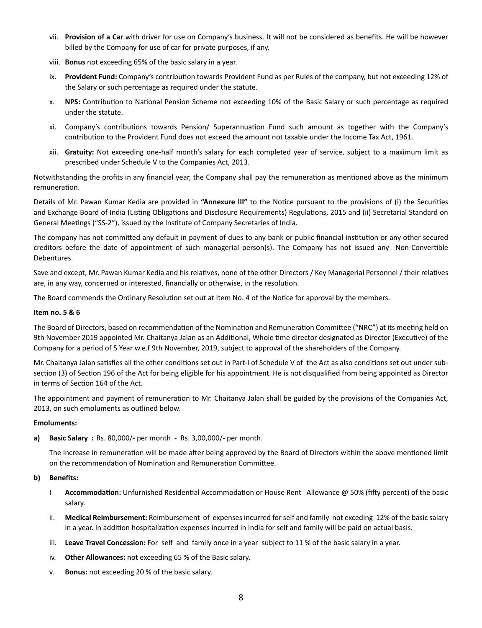- vii. **Provision of a Car** with driver for use on Company's business. It will not be considered as benefits. He will be however billed by the Company for use of car for private purposes, if any.
- viii. **Bonus** not exceeding 65% of the basic salary in a year.
- ix. Provident Fund: Company's contribution towards Provident Fund as per Rules of the company, but not exceeding 12% of the Salary or such percentage as required under the statute.
- x. **NPS:** Contribution to National Pension Scheme not exceeding 10% of the Basic Salary or such percentage as required under the statute.
- xi. Company's contributions towards Pension/ Superannuation Fund such amount as together with the Company's contribution to the Provident Fund does not exceed the amount not taxable under the Income Tax Act, 1961.
- xii. **Gratuity:** Not exceeding one-half month's salary for each completed year of service, subject to a maximum limit as prescribed under Schedule V to the Companies Act, 2013.

Notwithstanding the profits in any financial year, the Company shall pay the remuneration as mentioned above as the minimum remuneration.

Details of Mr. Pawan Kumar Kedia are provided in "Annexure III" to the Notice pursuant to the provisions of (i) the Securities and Exchange Board of India (Listing Obligations and Disclosure Requirements) Regulations, 2015 and (ii) Secretarial Standard on General Meetings ("SS-2"), issued by the Institute of Company Secretaries of India.

The company has not committed any default in payment of dues to any bank or public financial institution or any other secured creditors before the date of appointment of such managerial person(s). The Company has not issued any Non-Convertible Debentures.

Save and except, Mr. Pawan Kumar Kedia and his relatives, none of the other Directors / Key Managerial Personnel / their relatives are, in any way, concerned or interested, financially or otherwise, in the resolution.

The Board commends the Ordinary Resolution set out at Item No. 4 of the Notice for approval by the members.

## **Item no. 5 & 6**

The Board of Directors, based on recommendation of the Nomination and Remuneration Committee ("NRC") at its meeting held on 9th November 2019 appointed Mr. Chaitanya Jalan as an Additional, Whole time director designated as Director (Executive) of the Company for a period of 5 Year w.e.f 9th November, 2019, subject to approval of the shareholders of the Company.

Mr. Chaitanya Jalan satisfies all the other conditions set out in Part-I of Schedule V of the Act as also conditions set out under subsection (3) of Section 196 of the Act for being eligible for his appointment. He is not disqualified from being appointed as Director in terms of Section 164 of the Act.

The appointment and payment of remuneration to Mr. Chaitanya Jalan shall be guided by the provisions of the Companies Act, 2013, on such emoluments as outlined below.

#### **Emoluments:**

**a) Basic Salary :** Rs. 80,000/- per month - Rs. 3,00,000/- per month.

The increase in remuneration will be made after being approved by the Board of Directors within the above mentioned limit on the recommendation of Nomination and Remuneration Committee.

## **b) Benefits:**

- I **Accommodation:** Unfurnished Residential Accommodation or House Rent Allowance @ 50% (fifty percent) of the basic salary.
- ii. **Medical Reimbursement:** Reimbursement of expenses incurred for self and family not exceding 12% of the basic salary in a year. In addition hospitalization expenses incurred in India for self and family will be paid on actual basis.
- iii. **Leave Travel Concession:** For self and family once in a year subject to 11 % of the basic salary in a year.
- iv. **Other Allowances:** not exceeding 65 % of the Basic salary.
- v. **Bonus:** not exceeding 20 % of the basic salary.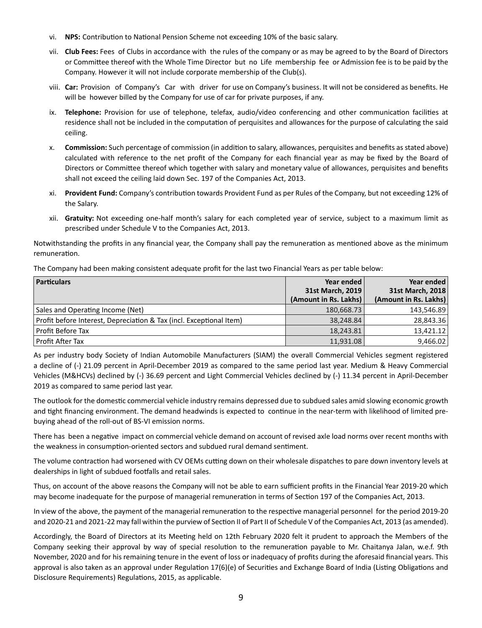- vi. **NPS:** Contribution to National Pension Scheme not exceeding 10% of the basic salary.
- vii. **Club Fees:** Fees of Clubs in accordance with the rules of the company or as may be agreed to by the Board of Directors or Committee thereof with the Whole Time Director but no Life membership fee or Admission fee is to be paid by the Company. However it will not include corporate membership of the Club(s).
- viii. **Car:** Provision of Company's Car with driver for use on Company's business. It will not be considered as benefits. He will be however billed by the Company for use of car for private purposes, if any.
- ix. **Telephone:** Provision for use of telephone, telefax, audio/video conferencing and other communication facilities at residence shall not be included in the computation of perquisites and allowances for the purpose of calculating the said ceiling.
- x. **Commission:** Such percentage of commission (in addition to salary, allowances, perquisites and benefits as stated above) calculated with reference to the net profit of the Company for each financial year as may be fixed by the Board of Directors or Committee thereof which together with salary and monetary value of allowances, perquisites and benefits shall not exceed the ceiling laid down Sec. 197 of the Companies Act, 2013.
- xi. Provident Fund: Company's contribution towards Provident Fund as per Rules of the Company, but not exceeding 12% of the Salary.
- xii. **Gratuity:** Not exceeding one-half month's salary for each completed year of service, subject to a maximum limit as prescribed under Schedule V to the Companies Act, 2013.

Notwithstanding the profits in any financial year, the Company shall pay the remuneration as mentioned above as the minimum remuneration.

The Company had been making consistent adequate profit for the last two Financial Years as per table below:

| <b>Particulars</b>                                                  | Year ended            | Year ended            |
|---------------------------------------------------------------------|-----------------------|-----------------------|
|                                                                     | 31st March, 2019      | 31st March, 2018      |
|                                                                     | (Amount in Rs. Lakhs) | (Amount in Rs. Lakhs) |
| Sales and Operating Income (Net)                                    | 180,668.73            | 143,546.89            |
| Profit before Interest, Depreciation & Tax (incl. Exceptional Item) | 38,248.84             | 28,843.36             |
| Profit Before Tax                                                   | 18,243.81             | 13,421.12             |
| Profit After Tax                                                    | 11,931.08             | 9,466.02              |

As per industry body Society of Indian Automobile Manufacturers (SIAM) the overall Commercial Vehicles segment registered a decline of (-) 21.09 percent in April-December 2019 as compared to the same period last year. Medium & Heavy Commercial Vehicles (M&HCVs) declined by (-) 36.69 percent and Light Commercial Vehicles declined by (-) 11.34 percent in April-December 2019 as compared to same period last year.

The outlook for the domestic commercial vehicle industry remains depressed due to subdued sales amid slowing economic growth and tight financing environment. The demand headwinds is expected to continue in the near-term with likelihood of limited prebuying ahead of the roll-out of BS-VI emission norms.

There has been a negative impact on commercial vehicle demand on account of revised axle load norms over recent months with the weakness in consumption-oriented sectors and subdued rural demand sentiment.

The volume contraction had worsened with CV OEMs cutting down on their wholesale dispatches to pare down inventory levels at dealerships in light of subdued footfalls and retail sales.

Thus, on account of the above reasons the Company will not be able to earn sufficient profits in the Financial Year 2019-20 which may become inadequate for the purpose of managerial remuneration in terms of Section 197 of the Companies Act, 2013.

In view of the above, the payment of the managerial remuneration to the respective managerial personnel for the period 2019-20 and 2020-21 and 2021-22 may fall within the purview of Section II of Part II of Schedule V of the Companies Act, 2013 (as amended).

Accordingly, the Board of Directors at its Meeting held on 12th February 2020 felt it prudent to approach the Members of the Company seeking their approval by way of special resolution to the remuneration payable to Mr. Chaitanya Jalan, w.e.f. 9th November, 2020 and for his remaining tenure in the event of loss or inadequacy of profits during the aforesaid financial years. This approval is also taken as an approval under Regulation 17(6)(e) of Securities and Exchange Board of India (Listing Obligations and Disclosure Requirements) Regulations, 2015, as applicable.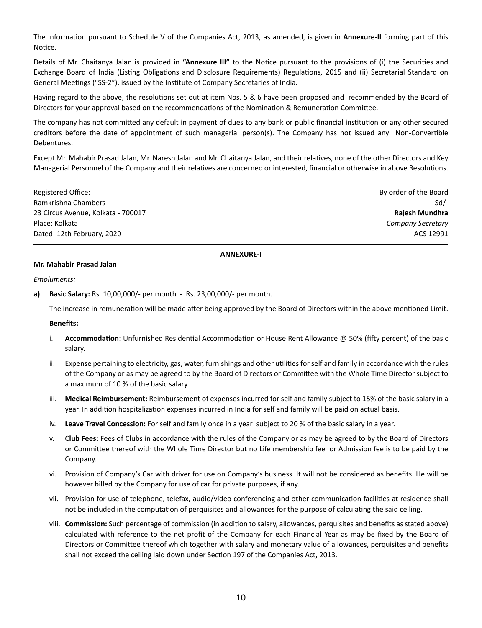The information pursuant to Schedule V of the Companies Act, 2013, as amended, is given in **Annexure-II** forming part of this Notice.

Details of Mr. Chaitanya Jalan is provided in "Annexure III" to the Notice pursuant to the provisions of (i) the Securities and Exchange Board of India (Listing Obligations and Disclosure Requirements) Regulations, 2015 and (ii) Secretarial Standard on General Meetings ("SS-2"), issued by the Institute of Company Secretaries of India.

Having regard to the above, the resolutions set out at item Nos. 5 & 6 have been proposed and recommended by the Board of Directors for your approval based on the recommendations of the Nomination & Remuneration Committee.

The company has not committed any default in payment of dues to any bank or public financial institution or any other secured creditors before the date of appointment of such managerial person(s). The Company has not issued any Non-Convertible Debentures.

Except Mr. Mahabir Prasad Jalan, Mr. Naresh Jalan and Mr. Chaitanya Jalan, and their relatives, none of the other Directors and Key Managerial Personnel of the Company and their relatives are concerned or interested, financial or otherwise in above Resolutions.

Registered Office: By order of the Board Ramkrishna Chambers Sd<sup>7</sup>-23 Circus Avenue, Kolkata - 700017 **Rajesh Mundhra** Place: Kolkata *Company Secretary* Dated: 12th February, 2020 ACS 12991

## **ANNEXURE-I**

#### **Mr. Mahabir Prasad Jalan**

*Emoluments:*

**a) Basic Salary:** Rs. 10,00,000/- per month - Rs. 23,00,000/- per month.

The increase in remuneration will be made after being approved by the Board of Directors within the above mentioned Limit.

#### **Benefits:**

- i. **Accommodation:** Unfurnished Residential Accommodation or House Rent Allowance @ 50% (fifty percent) of the basic salary.
- ii. Expense pertaining to electricity, gas, water, furnishings and other utilities for self and family in accordance with the rules of the Company or as may be agreed to by the Board of Directors or Committee with the Whole Time Director subject to a maximum of 10 % of the basic salary.
- iii. **Medical Reimbursement:** Reimbursement of expenses incurred for self and family subject to 15% of the basic salary in a year. In addition hospitalization expenses incurred in India for self and family will be paid on actual basis.
- iv. **Leave Travel Concession:** For self and family once in a year subject to 20 % of the basic salary in a year.
- v. C**lub Fees:** Fees of Clubs in accordance with the rules of the Company or as may be agreed to by the Board of Directors or Committee thereof with the Whole Time Director but no Life membership fee or Admission fee is to be paid by the Company.
- vi. Provision of Company's Car with driver for use on Company's business. It will not be considered as benefits. He will be however billed by the Company for use of car for private purposes, if any.
- vii. Provision for use of telephone, telefax, audio/video conferencing and other communication facilities at residence shall not be included in the computation of perquisites and allowances for the purpose of calculating the said ceiling.
- viii. Commission: Such percentage of commission (in addition to salary, allowances, perquisites and benefits as stated above) calculated with reference to the net profit of the Company for each Financial Year as may be fixed by the Board of Directors or Committee thereof which together with salary and monetary value of allowances, perquisites and benefits shall not exceed the ceiling laid down under Section 197 of the Companies Act, 2013.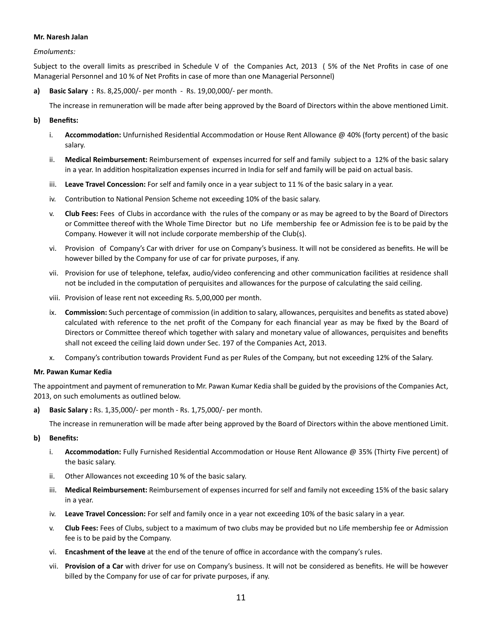#### **Mr. Naresh Jalan**

*Emoluments:*

Subject to the overall limits as prescribed in Schedule V of the Companies Act, 2013 ( 5% of the Net Profits in case of one Managerial Personnel and 10 % of Net Profits in case of more than one Managerial Personnel)

**a) Basic Salary :** Rs. 8,25,000/- per month - Rs. 19,00,000/- per month.

The increase in remuneration will be made after being approved by the Board of Directors within the above mentioned Limit.

## **b) Benefits:**

- i. **Accommodation:** Unfurnished Residential Accommodation or House Rent Allowance @ 40% (forty percent) of the basic salary.
- ii. **Medical Reimbursement:** Reimbursement of expenses incurred for self and family subject to a 12% of the basic salary in a year. In addition hospitalization expenses incurred in India for self and family will be paid on actual basis.
- iii. **Leave Travel Concession:** For self and family once in a year subject to 11 % of the basic salary in a year.
- iv. Contribution to National Pension Scheme not exceeding 10% of the basic salary.
- v. **Club Fees:** Fees of Clubs in accordance with the rules of the company or as may be agreed to by the Board of Directors or Committee thereof with the Whole Time Director but no Life membership fee or Admission fee is to be paid by the Company. However it will not include corporate membership of the Club(s).
- vi. Provision of Company's Car with driver for use on Company's business. It will not be considered as benefits. He will be however billed by the Company for use of car for private purposes, if any.
- vii. Provision for use of telephone, telefax, audio/video conferencing and other communication facilities at residence shall not be included in the computation of perquisites and allowances for the purpose of calculating the said ceiling.
- viii. Provision of lease rent not exceeding Rs. 5,00,000 per month.
- ix. **Commission:** Such percentage of commission (in addition to salary, allowances, perquisites and benefits as stated above) calculated with reference to the net profit of the Company for each financial year as may be fixed by the Board of Directors or Committee thereof which together with salary and monetary value of allowances, perquisites and benefits shall not exceed the ceiling laid down under Sec. 197 of the Companies Act, 2013.
- Company's contribution towards Provident Fund as per Rules of the Company, but not exceeding 12% of the Salary.

#### **Mr. Pawan Kumar Kedia**

The appointment and payment of remuneration to Mr. Pawan Kumar Kedia shall be guided by the provisions of the Companies Act, 2013, on such emoluments as outlined below.

**a) Basic Salary :** Rs. 1,35,000/- per month - Rs. 1,75,000/- per month.

The increase in remuneration will be made after being approved by the Board of Directors within the above mentioned Limit.

#### **b) Benefits:**

- i. **Accommodation:** Fully Furnished Residential Accommodation or House Rent Allowance @ 35% (Thirty Five percent) of the basic salary.
- ii. Other Allowances not exceeding 10 % of the basic salary.
- iii. **Medical Reimbursement:** Reimbursement of expenses incurred for self and family not exceeding 15% of the basic salary in a year.
- iv. **Leave Travel Concession:** For self and family once in a year not exceeding 10% of the basic salary in a year.
- v. **Club Fees:** Fees of Clubs, subject to a maximum of two clubs may be provided but no Life membership fee or Admission fee is to be paid by the Company.
- vi. **Encashment of the leave** at the end of the tenure of office in accordance with the company's rules.
- vii. **Provision of a Car** with driver for use on Company's business. It will not be considered as benefits. He will be however billed by the Company for use of car for private purposes, if any.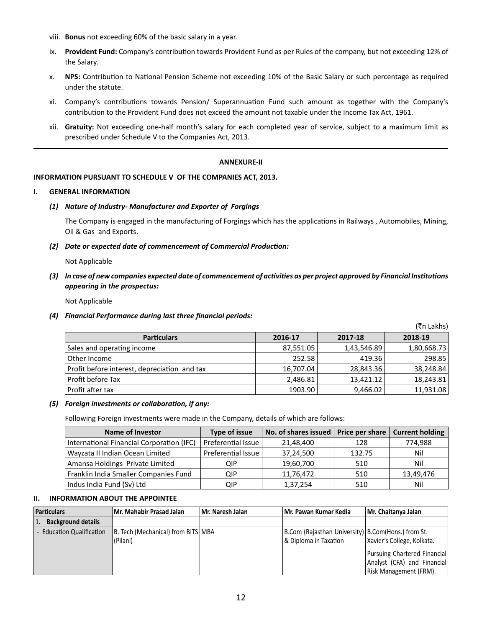- viii. **Bonus** not exceeding 60% of the basic salary in a year.
- ix. Provident Fund: Company's contribution towards Provident Fund as per Rules of the company, but not exceeding 12% of the Salary.
- x. **NPS:** Contribution to National Pension Scheme not exceeding 10% of the Basic Salary or such percentage as required under the statute.
- xi. Company's contributions towards Pension/ Superannuation Fund such amount as together with the Company's contribution to the Provident Fund does not exceed the amount not taxable under the Income Tax Act, 1961.
- xii. **Gratuity:** Not exceeding one-half month's salary for each completed year of service, subject to a maximum limit as prescribed under Schedule V to the Companies Act, 2013.

## **ANNEXURE-II**

## **INFORMATION PURSUANT TO SCHEDULE V OF THE COMPANIES ACT, 2013.**

#### **I. GENERAL INFORMATION**

## *(1) Nature of Industry- Manufacturer and Exporter of Forgings*

The Company is engaged in the manufacturing of Forgings which has the applications in Railways, Automobiles, Mining, Oil & Gas and Exports.

 *(2) Date or expected date of commencement of Commercial Produc!on:* 

Not Applicable

*(3) In case of new companies expected date of commencement of activities as per project approved by Financial Institutions appearing in the prospectus:* 

Not Applicable

*(4) Financial Performance during last three financial periods:*

(₹n Lakhs) Particulars **2016-17** 2016-17 **2017-18** 2018-19 Sales and opera!ng income 87,551.05 1,43,546.89 1,80,668.73 Other Income 252.58 298.85 298.85 298.85 298.85 298.85 298.85 298.85 298.85 298.85 298.85 298.85 298.85 298.85 Profit before interest, deprecia!on and tax 16,707.04 28,843.36 38,248.84 Profit before Tax 2,486.81 13,421.12 18,243.81 Profit after tax 1903.90 9,466.02 11,931.08

#### *(5) Foreign investments or collaboration, if any:*

Following Foreign investments were made in the Company, details of which are follows:

| <b>Name of Investor</b>                   | <b>Type of issue</b> | No. of shares issued   Price per share $ $ |        | <b>Current holding</b> |
|-------------------------------------------|----------------------|--------------------------------------------|--------|------------------------|
| International Financial Corporation (IFC) | Preferential Issue   | 21,48,400                                  | 128    | 774,988                |
| Wayzata II Indian Ocean Limited           | Preferential Issue   | 37,24,500                                  | 132.75 | Nil                    |
| Amansa Holdings Private Limited           | QIP                  | 19,60,700                                  | 510    | Nil                    |
| Franklin India Smaller Companies Fund     | QIP                  | 11,76,472                                  | 510    | 13,49,476              |
| Indus India Fund (Sv) Ltd                 | QIP                  | 1,37,254                                   | 510    | Nil                    |

## **II. INFORMATION ABOUT THE APPOINTEE**

| <b>Particulars</b>               | Mr. Mahabir Prasad Jalan                       | Mr. Naresh Jalan | Mr. Pawan Kumar Kedia                                                        | Mr. Chaitanya Jalan                                                                                                 |
|----------------------------------|------------------------------------------------|------------------|------------------------------------------------------------------------------|---------------------------------------------------------------------------------------------------------------------|
| <b>Background details</b><br> 1. |                                                |                  |                                                                              |                                                                                                                     |
| - Education Qualification        | B. Tech (Mechanical) from BITS MBA<br>(Pilani) |                  | B.Com (Rajasthan University) B.Com(Hons.) from St.<br> & Diploma in Taxation | Xavier's College, Kolkata.<br>Pursuing Chartered Financial<br>Analyst (CFA) and Financial<br>Risk Management (FRM). |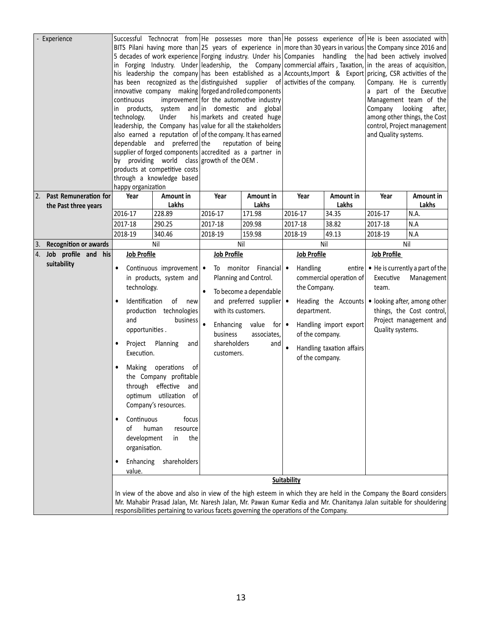|    | Experience                                       | continuous<br>products,<br>in<br>technology.<br>happy organization                                                                                                                                                                                                                                                                  | Successful Technocrat from $ He$ possesses more than $ He$ possess experience of $ He$ is been associated with<br>BITS Pilani having more than 25 years of experience in more than 30 years in various the Company since 2016 and<br>5 decades of work experience Forging industry. Under his Companies handling the had been actively involved<br>in Forging Industry. Under leadership, the Company commercial affairs, Taxation, in the areas of acquisition,<br>his leadership the company has been established as a Accounts, Import & Export pricing, CSR activities of the<br>has been recognized as the distinguished supplier of activities of the company.<br>innovative company making forged and rolled components<br>Under<br>leadership, the Company has value for all the stakeholders<br>also earned a reputation of of the company. It has earned<br>dependable and preferred the<br>supplier of forged components accredited as a partner in<br>by providing world class growth of the OEM.<br>products at competitive costs<br>through a knowledge based | improvement for the automotive industry<br>system and in domestic and global<br>his markets and created huge | reputation of being                                                                                                                   |                                                                                                     |                                                                                                        | Company looking<br>and Quality systems. | Company. He is currently<br>a part of the Executive<br>Management team of the<br>after,<br>among other things, the Cost<br>control, Project management |
|----|--------------------------------------------------|-------------------------------------------------------------------------------------------------------------------------------------------------------------------------------------------------------------------------------------------------------------------------------------------------------------------------------------|-----------------------------------------------------------------------------------------------------------------------------------------------------------------------------------------------------------------------------------------------------------------------------------------------------------------------------------------------------------------------------------------------------------------------------------------------------------------------------------------------------------------------------------------------------------------------------------------------------------------------------------------------------------------------------------------------------------------------------------------------------------------------------------------------------------------------------------------------------------------------------------------------------------------------------------------------------------------------------------------------------------------------------------------------------------------------------|--------------------------------------------------------------------------------------------------------------|---------------------------------------------------------------------------------------------------------------------------------------|-----------------------------------------------------------------------------------------------------|--------------------------------------------------------------------------------------------------------|-----------------------------------------|--------------------------------------------------------------------------------------------------------------------------------------------------------|
|    | 2. Past Remuneration for<br>the Past three years | Year                                                                                                                                                                                                                                                                                                                                | Amount in<br>Lakhs                                                                                                                                                                                                                                                                                                                                                                                                                                                                                                                                                                                                                                                                                                                                                                                                                                                                                                                                                                                                                                                          | Year                                                                                                         | Amount in<br>Lakhs                                                                                                                    | Year                                                                                                | Amount in<br>Lakhs                                                                                     | Year                                    | Amount in<br>Lakhs                                                                                                                                     |
|    |                                                  | 2016-17                                                                                                                                                                                                                                                                                                                             | 228.89                                                                                                                                                                                                                                                                                                                                                                                                                                                                                                                                                                                                                                                                                                                                                                                                                                                                                                                                                                                                                                                                      | 2016-17                                                                                                      | 171.98                                                                                                                                | 2016-17                                                                                             | 34.35                                                                                                  | 2016-17                                 | N.A.                                                                                                                                                   |
|    |                                                  | 2017-18                                                                                                                                                                                                                                                                                                                             | 290.25                                                                                                                                                                                                                                                                                                                                                                                                                                                                                                                                                                                                                                                                                                                                                                                                                                                                                                                                                                                                                                                                      | 2017-18                                                                                                      | 209.98                                                                                                                                | 2017-18                                                                                             | 38.82                                                                                                  | 2017-18                                 | N.A                                                                                                                                                    |
|    |                                                  | 2018-19                                                                                                                                                                                                                                                                                                                             | 340.46                                                                                                                                                                                                                                                                                                                                                                                                                                                                                                                                                                                                                                                                                                                                                                                                                                                                                                                                                                                                                                                                      | 2018-19                                                                                                      | 159.98                                                                                                                                | 2018-19                                                                                             | 49.13                                                                                                  | 2018-19                                 | N.A                                                                                                                                                    |
| 3. | <b>Recognition or awards</b>                     |                                                                                                                                                                                                                                                                                                                                     | Nil                                                                                                                                                                                                                                                                                                                                                                                                                                                                                                                                                                                                                                                                                                                                                                                                                                                                                                                                                                                                                                                                         |                                                                                                              | Nil                                                                                                                                   |                                                                                                     | Nil                                                                                                    |                                         | Nil                                                                                                                                                    |
| 4. | Job profile and his                              | <b>Job Profile</b>                                                                                                                                                                                                                                                                                                                  |                                                                                                                                                                                                                                                                                                                                                                                                                                                                                                                                                                                                                                                                                                                                                                                                                                                                                                                                                                                                                                                                             | <b>Job Profile</b>                                                                                           |                                                                                                                                       | <b>Job Profile</b>                                                                                  |                                                                                                        | <b>Job Profile</b>                      |                                                                                                                                                        |
|    | suitability                                      | $\bullet$<br>technology.<br>Identification<br>and<br>opportunities.<br>Project<br>Execution.<br>Making<br>Continuous<br>οf<br>development<br>organisation.<br>Enhancing<br>value.                                                                                                                                                   | Continuous improvement $\bullet$<br>in products, system and<br>of<br>new<br>production technologies<br>business<br>Planning<br>and<br>operations<br>- of<br>the Company profitable<br>through effective and<br>optimum utilization of<br>Company's resources.<br>focus<br>human<br>resource<br>the<br>in<br>shareholders                                                                                                                                                                                                                                                                                                                                                                                                                                                                                                                                                                                                                                                                                                                                                    | $\bullet$<br>with its customers.<br>$\bullet$<br>Enhancing value<br>business<br>shareholders<br>customers.   | To monitor Financial •<br>Planning and Control.<br>To become a dependable<br>and preferred supplier •<br>for∣ ●<br>associates,<br>and | Handling<br>the Company.<br>department.<br>of the company.<br>of the company.<br><b>Suitability</b> | commercial operation of<br>Heading the Accounts<br>Handling import export<br>Handling taxation affairs | Executive<br>team.<br>Quality systems.  | entire $\bullet$ He is currently a part of the<br>Management<br>• looking after, among other<br>things, the Cost control,<br>Project management and    |
|    |                                                  | In view of the above and also in view of the high esteem in which they are held in the Company the Board considers<br>Mr. Mahabir Prasad Jalan, Mr. Naresh Jalan, Mr. Pawan Kumar Kedia and Mr. Chanitanya Jalan suitable for shouldering<br>responsibilities pertaining to various facets governing the operations of the Company. |                                                                                                                                                                                                                                                                                                                                                                                                                                                                                                                                                                                                                                                                                                                                                                                                                                                                                                                                                                                                                                                                             |                                                                                                              |                                                                                                                                       |                                                                                                     |                                                                                                        |                                         |                                                                                                                                                        |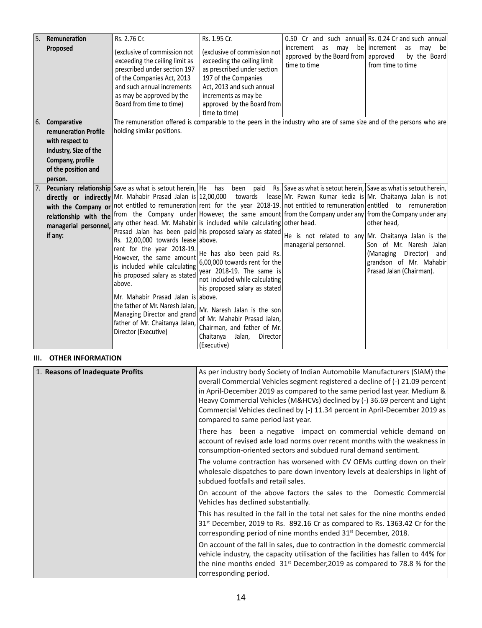| Remuneration<br>Rs. 2.76 Cr.<br>Rs. 1.95 Cr.<br>0.50 Cr and such annual Rs. 0.24 Cr and such annual<br>increment<br>as may<br>be   increment<br>Proposed<br>as<br>may<br>be<br>(exclusive of commission not<br>(exclusive of commission not<br>approved by the Board from approved<br>by the Board<br>exceeding the ceiling limit<br>exceeding the ceiling limit as<br>time to time<br>from time to time<br>prescribed under section 197<br>as prescribed under section<br>of the Companies Act, 2013<br>197 of the Companies<br>and such annual increments<br>Act, 2013 and such annual<br>as may be approved by the<br>increments as may be<br>Board from time to time)<br>approved by the Board from<br>time to time)<br>The remuneration offered is comparable to the peers in the industry who are of same size and of the persons who are<br>Comparative<br>holding similar positions.<br>remuneration Profile<br>with respect to<br>Industry, Size of the<br>Company, profile<br>of the position and<br>person.<br>Rs. Save as what is setout herein, Save as what is setout herein,<br><b>Pecuniary relationship</b> Save as what is setout herein, He has<br>been paid<br>directly or indirectly Mr. Mahabir Prasad Jalan is $12,00,000$<br>towards lease Mr. Pawan Kumar kedia is Mr. Chaitanya Jalan is not<br>not entitled to remuneration rent for the year 2018-19. not entitled to remuneration entitled to remuneration<br>with the Company or<br>from the Company under However, the same amount from the Company under any from the Company under any<br>relationship with the<br>any other head. Mr. Mahabir is included while calculating other head.<br>other head,<br>managerial personnel,<br>Prasad Jalan has been paid his proposed salary as stated<br>if any:<br>He is not related to any Mr. Chaitanya Jalan is the<br>Rs. 12,00,000 towards lease above.<br>Son of Mr. Naresh Jalan<br>managerial personnel.<br>rent for the year 2018-19.<br>He has also been paid Rs.<br>(Managing<br>Director)<br>and<br>However, the same amount<br>6,00,000 towards rent for the<br>grandson of Mr. Mahabir<br>is included while calculating<br>year 2018-19. The same is<br>Prasad Jalan (Chairman).<br>his proposed salary as stated<br>not included while calculating<br>above.<br>his proposed salary as stated<br>Mr. Mahabir Prasad Jalan is above.<br>the father of Mr. Naresh Jalan,<br>Mr. Naresh Jalan is the son<br>Managing Director and grand<br>of Mr. Mahabir Prasad Jalan, |     |                                |  |  |
|--------------------------------------------------------------------------------------------------------------------------------------------------------------------------------------------------------------------------------------------------------------------------------------------------------------------------------------------------------------------------------------------------------------------------------------------------------------------------------------------------------------------------------------------------------------------------------------------------------------------------------------------------------------------------------------------------------------------------------------------------------------------------------------------------------------------------------------------------------------------------------------------------------------------------------------------------------------------------------------------------------------------------------------------------------------------------------------------------------------------------------------------------------------------------------------------------------------------------------------------------------------------------------------------------------------------------------------------------------------------------------------------------------------------------------------------------------------------------------------------------------------------------------------------------------------------------------------------------------------------------------------------------------------------------------------------------------------------------------------------------------------------------------------------------------------------------------------------------------------------------------------------------------------------------------------------------------------------------------------------------------------------------------------------------------------------------------------------------------------------------------------------------------------------------------------------------------------------------------------------------------------------------------------------------------------------------------------------------------------------------------------------------------------------------------------------------------------------------------------------------------------|-----|--------------------------------|--|--|
|                                                                                                                                                                                                                                                                                                                                                                                                                                                                                                                                                                                                                                                                                                                                                                                                                                                                                                                                                                                                                                                                                                                                                                                                                                                                                                                                                                                                                                                                                                                                                                                                                                                                                                                                                                                                                                                                                                                                                                                                                                                                                                                                                                                                                                                                                                                                                                                                                                                                                                              | I5. |                                |  |  |
|                                                                                                                                                                                                                                                                                                                                                                                                                                                                                                                                                                                                                                                                                                                                                                                                                                                                                                                                                                                                                                                                                                                                                                                                                                                                                                                                                                                                                                                                                                                                                                                                                                                                                                                                                                                                                                                                                                                                                                                                                                                                                                                                                                                                                                                                                                                                                                                                                                                                                                              |     |                                |  |  |
|                                                                                                                                                                                                                                                                                                                                                                                                                                                                                                                                                                                                                                                                                                                                                                                                                                                                                                                                                                                                                                                                                                                                                                                                                                                                                                                                                                                                                                                                                                                                                                                                                                                                                                                                                                                                                                                                                                                                                                                                                                                                                                                                                                                                                                                                                                                                                                                                                                                                                                              | 6.  |                                |  |  |
|                                                                                                                                                                                                                                                                                                                                                                                                                                                                                                                                                                                                                                                                                                                                                                                                                                                                                                                                                                                                                                                                                                                                                                                                                                                                                                                                                                                                                                                                                                                                                                                                                                                                                                                                                                                                                                                                                                                                                                                                                                                                                                                                                                                                                                                                                                                                                                                                                                                                                                              |     |                                |  |  |
|                                                                                                                                                                                                                                                                                                                                                                                                                                                                                                                                                                                                                                                                                                                                                                                                                                                                                                                                                                                                                                                                                                                                                                                                                                                                                                                                                                                                                                                                                                                                                                                                                                                                                                                                                                                                                                                                                                                                                                                                                                                                                                                                                                                                                                                                                                                                                                                                                                                                                                              |     |                                |  |  |
|                                                                                                                                                                                                                                                                                                                                                                                                                                                                                                                                                                                                                                                                                                                                                                                                                                                                                                                                                                                                                                                                                                                                                                                                                                                                                                                                                                                                                                                                                                                                                                                                                                                                                                                                                                                                                                                                                                                                                                                                                                                                                                                                                                                                                                                                                                                                                                                                                                                                                                              |     |                                |  |  |
|                                                                                                                                                                                                                                                                                                                                                                                                                                                                                                                                                                                                                                                                                                                                                                                                                                                                                                                                                                                                                                                                                                                                                                                                                                                                                                                                                                                                                                                                                                                                                                                                                                                                                                                                                                                                                                                                                                                                                                                                                                                                                                                                                                                                                                                                                                                                                                                                                                                                                                              |     |                                |  |  |
|                                                                                                                                                                                                                                                                                                                                                                                                                                                                                                                                                                                                                                                                                                                                                                                                                                                                                                                                                                                                                                                                                                                                                                                                                                                                                                                                                                                                                                                                                                                                                                                                                                                                                                                                                                                                                                                                                                                                                                                                                                                                                                                                                                                                                                                                                                                                                                                                                                                                                                              |     |                                |  |  |
|                                                                                                                                                                                                                                                                                                                                                                                                                                                                                                                                                                                                                                                                                                                                                                                                                                                                                                                                                                                                                                                                                                                                                                                                                                                                                                                                                                                                                                                                                                                                                                                                                                                                                                                                                                                                                                                                                                                                                                                                                                                                                                                                                                                                                                                                                                                                                                                                                                                                                                              |     |                                |  |  |
|                                                                                                                                                                                                                                                                                                                                                                                                                                                                                                                                                                                                                                                                                                                                                                                                                                                                                                                                                                                                                                                                                                                                                                                                                                                                                                                                                                                                                                                                                                                                                                                                                                                                                                                                                                                                                                                                                                                                                                                                                                                                                                                                                                                                                                                                                                                                                                                                                                                                                                              |     |                                |  |  |
|                                                                                                                                                                                                                                                                                                                                                                                                                                                                                                                                                                                                                                                                                                                                                                                                                                                                                                                                                                                                                                                                                                                                                                                                                                                                                                                                                                                                                                                                                                                                                                                                                                                                                                                                                                                                                                                                                                                                                                                                                                                                                                                                                                                                                                                                                                                                                                                                                                                                                                              |     |                                |  |  |
|                                                                                                                                                                                                                                                                                                                                                                                                                                                                                                                                                                                                                                                                                                                                                                                                                                                                                                                                                                                                                                                                                                                                                                                                                                                                                                                                                                                                                                                                                                                                                                                                                                                                                                                                                                                                                                                                                                                                                                                                                                                                                                                                                                                                                                                                                                                                                                                                                                                                                                              |     |                                |  |  |
|                                                                                                                                                                                                                                                                                                                                                                                                                                                                                                                                                                                                                                                                                                                                                                                                                                                                                                                                                                                                                                                                                                                                                                                                                                                                                                                                                                                                                                                                                                                                                                                                                                                                                                                                                                                                                                                                                                                                                                                                                                                                                                                                                                                                                                                                                                                                                                                                                                                                                                              |     |                                |  |  |
|                                                                                                                                                                                                                                                                                                                                                                                                                                                                                                                                                                                                                                                                                                                                                                                                                                                                                                                                                                                                                                                                                                                                                                                                                                                                                                                                                                                                                                                                                                                                                                                                                                                                                                                                                                                                                                                                                                                                                                                                                                                                                                                                                                                                                                                                                                                                                                                                                                                                                                              |     |                                |  |  |
|                                                                                                                                                                                                                                                                                                                                                                                                                                                                                                                                                                                                                                                                                                                                                                                                                                                                                                                                                                                                                                                                                                                                                                                                                                                                                                                                                                                                                                                                                                                                                                                                                                                                                                                                                                                                                                                                                                                                                                                                                                                                                                                                                                                                                                                                                                                                                                                                                                                                                                              |     |                                |  |  |
|                                                                                                                                                                                                                                                                                                                                                                                                                                                                                                                                                                                                                                                                                                                                                                                                                                                                                                                                                                                                                                                                                                                                                                                                                                                                                                                                                                                                                                                                                                                                                                                                                                                                                                                                                                                                                                                                                                                                                                                                                                                                                                                                                                                                                                                                                                                                                                                                                                                                                                              |     |                                |  |  |
|                                                                                                                                                                                                                                                                                                                                                                                                                                                                                                                                                                                                                                                                                                                                                                                                                                                                                                                                                                                                                                                                                                                                                                                                                                                                                                                                                                                                                                                                                                                                                                                                                                                                                                                                                                                                                                                                                                                                                                                                                                                                                                                                                                                                                                                                                                                                                                                                                                                                                                              |     |                                |  |  |
|                                                                                                                                                                                                                                                                                                                                                                                                                                                                                                                                                                                                                                                                                                                                                                                                                                                                                                                                                                                                                                                                                                                                                                                                                                                                                                                                                                                                                                                                                                                                                                                                                                                                                                                                                                                                                                                                                                                                                                                                                                                                                                                                                                                                                                                                                                                                                                                                                                                                                                              |     |                                |  |  |
|                                                                                                                                                                                                                                                                                                                                                                                                                                                                                                                                                                                                                                                                                                                                                                                                                                                                                                                                                                                                                                                                                                                                                                                                                                                                                                                                                                                                                                                                                                                                                                                                                                                                                                                                                                                                                                                                                                                                                                                                                                                                                                                                                                                                                                                                                                                                                                                                                                                                                                              |     |                                |  |  |
|                                                                                                                                                                                                                                                                                                                                                                                                                                                                                                                                                                                                                                                                                                                                                                                                                                                                                                                                                                                                                                                                                                                                                                                                                                                                                                                                                                                                                                                                                                                                                                                                                                                                                                                                                                                                                                                                                                                                                                                                                                                                                                                                                                                                                                                                                                                                                                                                                                                                                                              |     |                                |  |  |
|                                                                                                                                                                                                                                                                                                                                                                                                                                                                                                                                                                                                                                                                                                                                                                                                                                                                                                                                                                                                                                                                                                                                                                                                                                                                                                                                                                                                                                                                                                                                                                                                                                                                                                                                                                                                                                                                                                                                                                                                                                                                                                                                                                                                                                                                                                                                                                                                                                                                                                              |     |                                |  |  |
|                                                                                                                                                                                                                                                                                                                                                                                                                                                                                                                                                                                                                                                                                                                                                                                                                                                                                                                                                                                                                                                                                                                                                                                                                                                                                                                                                                                                                                                                                                                                                                                                                                                                                                                                                                                                                                                                                                                                                                                                                                                                                                                                                                                                                                                                                                                                                                                                                                                                                                              |     |                                |  |  |
|                                                                                                                                                                                                                                                                                                                                                                                                                                                                                                                                                                                                                                                                                                                                                                                                                                                                                                                                                                                                                                                                                                                                                                                                                                                                                                                                                                                                                                                                                                                                                                                                                                                                                                                                                                                                                                                                                                                                                                                                                                                                                                                                                                                                                                                                                                                                                                                                                                                                                                              |     | father of Mr. Chaitanya Jalan, |  |  |
| Chairman, and father of Mr.<br>Director (Executive)                                                                                                                                                                                                                                                                                                                                                                                                                                                                                                                                                                                                                                                                                                                                                                                                                                                                                                                                                                                                                                                                                                                                                                                                                                                                                                                                                                                                                                                                                                                                                                                                                                                                                                                                                                                                                                                                                                                                                                                                                                                                                                                                                                                                                                                                                                                                                                                                                                                          |     |                                |  |  |
| Chaitanya<br>Jalan,<br>Director<br>(Executive)                                                                                                                                                                                                                                                                                                                                                                                                                                                                                                                                                                                                                                                                                                                                                                                                                                                                                                                                                                                                                                                                                                                                                                                                                                                                                                                                                                                                                                                                                                                                                                                                                                                                                                                                                                                                                                                                                                                                                                                                                                                                                                                                                                                                                                                                                                                                                                                                                                                               |     |                                |  |  |

## **III. OTHER INFORMATION**

| 1. Reasons of Inadequate Profits | As per industry body Society of Indian Automobile Manufacturers (SIAM) the<br>overall Commercial Vehicles segment registered a decline of (-) 21.09 percent<br>in April-December 2019 as compared to the same period last year. Medium &<br>Heavy Commercial Vehicles (M&HCVs) declined by (-) 36.69 percent and Light<br>Commercial Vehicles declined by (-) 11.34 percent in April-December 2019 as<br>compared to same period last year. |
|----------------------------------|---------------------------------------------------------------------------------------------------------------------------------------------------------------------------------------------------------------------------------------------------------------------------------------------------------------------------------------------------------------------------------------------------------------------------------------------|
|                                  | There has been a negative impact on commercial vehicle demand on<br>account of revised axle load norms over recent months with the weakness in<br>consumption-oriented sectors and subdued rural demand sentiment.                                                                                                                                                                                                                          |
|                                  | The volume contraction has worsened with CV OEMs cutting down on their<br>wholesale dispatches to pare down inventory levels at dealerships in light of<br>subdued footfalls and retail sales.                                                                                                                                                                                                                                              |
|                                  | On account of the above factors the sales to the Domestic Commercial<br>Vehicles has declined substantially.                                                                                                                                                                                                                                                                                                                                |
|                                  | This has resulted in the fall in the total net sales for the nine months ended<br>31 <sup>st</sup> December, 2019 to Rs. 892.16 Cr as compared to Rs. 1363.42 Cr for the<br>corresponding period of nine months ended 31 <sup>st</sup> December, 2018.                                                                                                                                                                                      |
|                                  | On account of the fall in sales, due to contraction in the domestic commercial<br>vehicle industry, the capacity utilisation of the facilities has fallen to 44% for<br>the nine months ended $31st$ December, 2019 as compared to 78.8 % for the<br>corresponding period.                                                                                                                                                                  |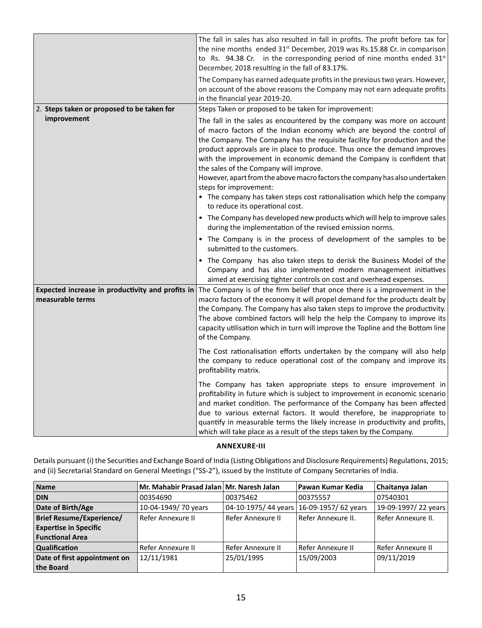|                                                                      | The fall in sales has also resulted in fall in profits. The profit before tax for<br>the nine months ended 31 <sup>st</sup> December, 2019 was Rs.15.88 Cr. in comparison<br>to Rs. 94.38 Cr. in the corresponding period of nine months ended 31 <sup>st</sup><br>December, 2018 resulting in the fall of 83.17%.<br>The Company has earned adequate profits in the previous two years. However,<br>on account of the above reasons the Company may not earn adequate profits<br>in the financial year 2019-20.                                                                                                                                        |
|----------------------------------------------------------------------|---------------------------------------------------------------------------------------------------------------------------------------------------------------------------------------------------------------------------------------------------------------------------------------------------------------------------------------------------------------------------------------------------------------------------------------------------------------------------------------------------------------------------------------------------------------------------------------------------------------------------------------------------------|
| 2. Steps taken or proposed to be taken for                           | Steps Taken or proposed to be taken for improvement:                                                                                                                                                                                                                                                                                                                                                                                                                                                                                                                                                                                                    |
| improvement                                                          | The fall in the sales as encountered by the company was more on account<br>of macro factors of the Indian economy which are beyond the control of<br>the Company. The Company has the requisite facility for production and the<br>product approvals are in place to produce. Thus once the demand improves<br>with the improvement in economic demand the Company is confident that<br>the sales of the Company will improve.<br>However, apart from the above macro factors the company has also undertaken<br>steps for improvement:<br>• The company has taken steps cost rationalisation which help the company<br>to reduce its operational cost. |
|                                                                      | • The Company has developed new products which will help to improve sales<br>during the implementation of the revised emission norms.                                                                                                                                                                                                                                                                                                                                                                                                                                                                                                                   |
|                                                                      | • The Company is in the process of development of the samples to be<br>submitted to the customers.                                                                                                                                                                                                                                                                                                                                                                                                                                                                                                                                                      |
|                                                                      | • The Company has also taken steps to derisk the Business Model of the<br>Company and has also implemented modern management initiatives<br>aimed at exercising tighter controls on cost and overhead expenses.                                                                                                                                                                                                                                                                                                                                                                                                                                         |
| Expected increase in productivity and profits in<br>measurable terms | The Company is of the firm belief that once there is a improvement in the<br>macro factors of the economy it will propel demand for the products dealt by<br>the Company. The Company has also taken steps to improve the productivity.<br>The above combined factors will help the help the Company to improve its<br>capacity utilisation which in turn will improve the Topline and the Bottom line<br>of the Company.                                                                                                                                                                                                                               |
|                                                                      | The Cost rationalisation efforts undertaken by the company will also help<br>the company to reduce operational cost of the company and improve its<br>profitability matrix.                                                                                                                                                                                                                                                                                                                                                                                                                                                                             |
|                                                                      | The Company has taken appropriate steps to ensure improvement in<br>profitability in future which is subject to improvement in economic scenario<br>and market condition. The performance of the Company has been affected<br>due to various external factors. It would therefore, be inappropriate to<br>quantify in measurable terms the likely increase in productivity and profits,<br>which will take place as a result of the steps taken by the Company.                                                                                                                                                                                         |

## **ANNEXURE-III**

Details pursuant (i) the Securities and Exchange Board of India (Listing Obligations and Disclosure Requirements) Regulations, 2015; and (ii) Secretarial Standard on General Meetings ("SS-2"), issued by the Institute of Company Secretaries of India.

| <b>Name</b>                     | Mr. Mahabir Prasad Jalan Mr. Naresh Jalan |                   | Pawan Kumar Kedia                       | Chaitanya Jalan     |
|---------------------------------|-------------------------------------------|-------------------|-----------------------------------------|---------------------|
| <b>DIN</b>                      | 00354690                                  | 00375462          | 00375557                                | 07540301            |
| Date of Birth/Age               | 10-04-1949/70 years                       |                   | 04-10-1975/44 years 16-09-1957/62 years | 19-09-1997/22 years |
| <b>Brief Resume/Experience/</b> | Refer Annexure II                         | Refer Annexure II | Refer Annexure II.                      | Refer Annexure II.  |
| <b>Expertise in Specific</b>    |                                           |                   |                                         |                     |
| <b>Functional Area</b>          |                                           |                   |                                         |                     |
| <b>Qualification</b>            | Refer Annexure II                         | Refer Annexure II | Refer Annexure II                       | Refer Annexure II   |
| Date of first appointment on    | 12/11/1981                                | 25/01/1995        | 15/09/2003                              | 09/11/2019          |
| the Board                       |                                           |                   |                                         |                     |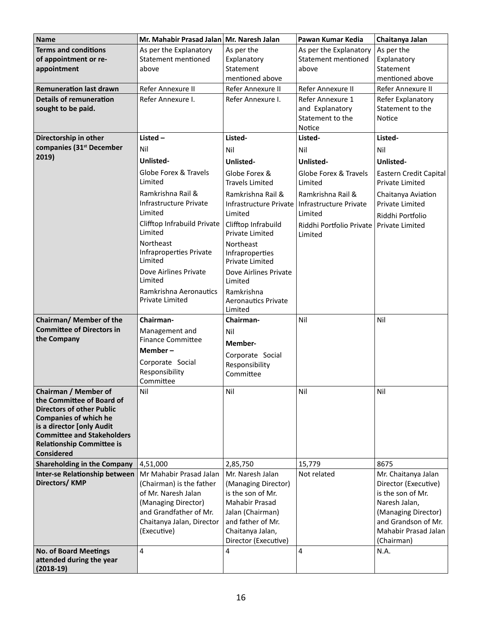| <b>Name</b>                                                                                                                                                                             | Mr. Mahabir Prasad Jalan                                                                                                                     | Mr. Naresh Jalan                                                                                                                                | Pawan Kumar Kedia                                                 | Chaitanya Jalan                                                                                                                                |
|-----------------------------------------------------------------------------------------------------------------------------------------------------------------------------------------|----------------------------------------------------------------------------------------------------------------------------------------------|-------------------------------------------------------------------------------------------------------------------------------------------------|-------------------------------------------------------------------|------------------------------------------------------------------------------------------------------------------------------------------------|
| <b>Terms and conditions</b><br>of appointment or re-<br>appointment                                                                                                                     | As per the Explanatory<br>Statement mentioned<br>above                                                                                       | As per the<br>Explanatory<br>Statement<br>mentioned above                                                                                       | As per the Explanatory<br>Statement mentioned<br>above            | As per the<br>Explanatory<br>Statement<br>mentioned above                                                                                      |
| <b>Remuneration last drawn</b>                                                                                                                                                          | Refer Annexure II                                                                                                                            | Refer Annexure II                                                                                                                               | Refer Annexure II                                                 | Refer Annexure II                                                                                                                              |
| <b>Details of remuneration</b><br>sought to be paid.                                                                                                                                    | Refer Annexure I.                                                                                                                            | Refer Annexure I.                                                                                                                               | Refer Annexure 1<br>and Explanatory<br>Statement to the<br>Notice | Refer Explanatory<br>Statement to the<br><b>Notice</b>                                                                                         |
| Directorship in other                                                                                                                                                                   | Listed $-$                                                                                                                                   | Listed-                                                                                                                                         | Listed-                                                           | Listed-                                                                                                                                        |
| companies (31 <sup>st</sup> December                                                                                                                                                    | Nil                                                                                                                                          | Nil                                                                                                                                             | Nil                                                               | Nil                                                                                                                                            |
| 2019)                                                                                                                                                                                   | <b>Unlisted-</b>                                                                                                                             | Unlisted-                                                                                                                                       | <b>Unlisted-</b>                                                  | Unlisted-                                                                                                                                      |
|                                                                                                                                                                                         | Globe Forex & Travels<br>Limited                                                                                                             | Globe Forex &<br><b>Travels Limited</b>                                                                                                         | Globe Forex & Travels<br>Limited                                  | Eastern Credit Capital<br><b>Private Limited</b>                                                                                               |
|                                                                                                                                                                                         | Ramkrishna Rail &<br>Infrastructure Private<br>Limited                                                                                       | Ramkrishna Rail &<br>Infrastructure Private<br>Limited                                                                                          | Ramkrishna Rail &<br>Infrastructure Private<br>Limited            | Chaitanya Aviation<br><b>Private Limited</b><br>Riddhi Portfolio                                                                               |
|                                                                                                                                                                                         | Clifftop Infrabuild Private<br>Limited                                                                                                       | Clifftop Infrabuild<br><b>Private Limited</b>                                                                                                   | Riddhi Portfolio Private   Private Limited<br>Limited             |                                                                                                                                                |
|                                                                                                                                                                                         | Northeast<br>Infraproperties Private<br>Limited                                                                                              | Northeast<br>Infraproperties<br>Private Limited                                                                                                 |                                                                   |                                                                                                                                                |
|                                                                                                                                                                                         | Dove Airlines Private<br>Limited                                                                                                             | Dove Airlines Private<br>Limited                                                                                                                |                                                                   |                                                                                                                                                |
|                                                                                                                                                                                         | Ramkrishna Aeronautics<br><b>Private Limited</b>                                                                                             | Ramkrishna<br><b>Aeronautics Private</b><br>Limited                                                                                             |                                                                   |                                                                                                                                                |
| Chairman/ Member of the                                                                                                                                                                 | Chairman-                                                                                                                                    | Chairman-                                                                                                                                       | Nil                                                               | Nil                                                                                                                                            |
| <b>Committee of Directors in</b>                                                                                                                                                        | Management and                                                                                                                               | Nil                                                                                                                                             |                                                                   |                                                                                                                                                |
| the Company                                                                                                                                                                             | <b>Finance Committee</b>                                                                                                                     | Member-                                                                                                                                         |                                                                   |                                                                                                                                                |
|                                                                                                                                                                                         | Member-                                                                                                                                      | Corporate Social                                                                                                                                |                                                                   |                                                                                                                                                |
|                                                                                                                                                                                         | Corporate Social                                                                                                                             | Responsibility                                                                                                                                  |                                                                   |                                                                                                                                                |
|                                                                                                                                                                                         | Responsibility<br>Committee                                                                                                                  | Committee                                                                                                                                       |                                                                   |                                                                                                                                                |
| Chairman / Member of<br>the Committee of Board of<br><b>Directors of other Public</b><br><b>Companies of which he</b><br>is a director [only Audit<br><b>Committee and Stakeholders</b> | Nil                                                                                                                                          | Nil                                                                                                                                             | Nil                                                               | Nil                                                                                                                                            |
| <b>Relationship Committee is</b>                                                                                                                                                        |                                                                                                                                              |                                                                                                                                                 |                                                                   |                                                                                                                                                |
| <b>Considered</b><br><b>Shareholding in the Company</b>                                                                                                                                 | 4,51,000                                                                                                                                     | 2,85,750                                                                                                                                        | 15,779                                                            | 8675                                                                                                                                           |
| Inter-se Relationship between                                                                                                                                                           | Mr Mahabir Prasad Jalan                                                                                                                      | Mr. Naresh Jalan                                                                                                                                | Not related                                                       | Mr. Chaitanya Jalan                                                                                                                            |
| Directors/KMP                                                                                                                                                                           | (Chairman) is the father<br>of Mr. Naresh Jalan<br>(Managing Director)<br>and Grandfather of Mr.<br>Chaitanya Jalan, Director<br>(Executive) | (Managing Director)<br>is the son of Mr.<br>Mahabir Prasad<br>Jalan (Chairman)<br>and father of Mr.<br>Chaitanya Jalan,<br>Director (Executive) |                                                                   | Director (Executive)<br>is the son of Mr.<br>Naresh Jalan,<br>(Managing Director)<br>and Grandson of Mr.<br>Mahabir Prasad Jalan<br>(Chairman) |
| <b>No. of Board Meetings</b><br>attended during the year<br>$(2018-19)$                                                                                                                 | 4                                                                                                                                            | 4                                                                                                                                               | 4                                                                 | N.A.                                                                                                                                           |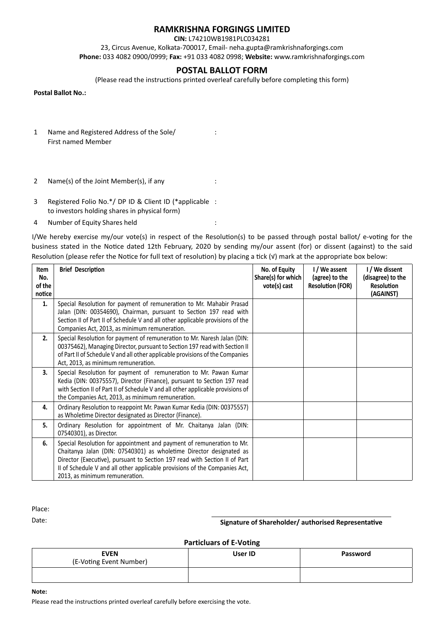# **RAMKRISHNA FORGINGS LIMITED**

**CIN:** L74210WB1981PLC034281

23, Circus Avenue, Kolkata-700017, Email- neha.gupta@ramkrishnaforgings.com **Phone:** 033 4082 0900/0999; **Fax:** +91 033 4082 0998; **Website:** www.ramkrishnaforgings.com

# **POSTAL BALLOT FORM**

(Please read the instructions printed overleaf carefully before completing this form)

**Postal Ballot No.:**

- 1 Name and Registered Address of the Sole/ : First named Member
- 2 Name(s) of the Joint Member(s), if any :
- 3 Registered Folio No.\*/ DP ID & Client ID (\*applicable : to investors holding shares in physical form)
- 4 Number of Equity Shares held :

I/We hereby exercise my/our vote(s) in respect of the Resolution(s) to be passed through postal ballot/ e-voting for the business stated in the Notice dated 12th February, 2020 by sending my/our assent (for) or dissent (against) to the said Resolution (please refer the Notice for full text of resolution) by placing a tick ( $V$ ) mark at the appropriate box below:

| Item<br>No.<br>of the<br>notice | <b>Brief Description</b>                                                                                                                                                                                                                                                                                                                   | No. of Equity<br>Share(s) for which<br>vote(s) cast | I / We assent<br>(agree) to the<br><b>Resolution (FOR)</b> | I / We dissent<br>(disagree) to the<br><b>Resolution</b><br>(AGAINST) |
|---------------------------------|--------------------------------------------------------------------------------------------------------------------------------------------------------------------------------------------------------------------------------------------------------------------------------------------------------------------------------------------|-----------------------------------------------------|------------------------------------------------------------|-----------------------------------------------------------------------|
| 1.                              | Special Resolution for payment of remuneration to Mr. Mahabir Prasad<br>Jalan (DIN: 00354690), Chairman, pursuant to Section 197 read with<br>Section II of Part II of Schedule V and all other applicable provisions of the<br>Companies Act, 2013, as minimum remuneration.                                                              |                                                     |                                                            |                                                                       |
| 2.                              | Special Resolution for payment of remuneration to Mr. Naresh Jalan (DIN:<br>00375462), Managing Director, pursuant to Section 197 read with Section II<br>of Part II of Schedule V and all other applicable provisions of the Companies<br>Act, 2013, as minimum remuneration.                                                             |                                                     |                                                            |                                                                       |
| 3.                              | Special Resolution for payment of remuneration to Mr. Pawan Kumar<br>Kedia (DIN: 00375557), Director (Finance), pursuant to Section 197 read<br>with Section II of Part II of Schedule V and all other applicable provisions of<br>the Companies Act, 2013, as minimum remuneration.                                                       |                                                     |                                                            |                                                                       |
| 4.                              | Ordinary Resolution to reappoint Mr. Pawan Kumar Kedia (DIN: 00375557)<br>as Wholetime Director designated as Director (Finance).                                                                                                                                                                                                          |                                                     |                                                            |                                                                       |
| 5.                              | Ordinary Resolution for appointment of Mr. Chaitanya Jalan (DIN:<br>07540301), as Director.                                                                                                                                                                                                                                                |                                                     |                                                            |                                                                       |
| 6.                              | Special Resolution for appointment and payment of remuneration to Mr.<br>Chaitanya Jalan (DIN: 07540301) as wholetime Director designated as<br>Director (Executive), pursuant to Section 197 read with Section II of Part<br>II of Schedule V and all other applicable provisions of the Companies Act,<br>2013, as minimum remuneration. |                                                     |                                                            |                                                                       |

Place:

Date: **Signature of Shareholder/ authorised Representative** 

**Particluars of E-Voting**

| <b>EVEN</b><br>(E-Voting Event Number) | User ID | Password |
|----------------------------------------|---------|----------|
|                                        |         |          |

**Note:**

Please read the instructions printed overleaf carefully before exercising the vote.